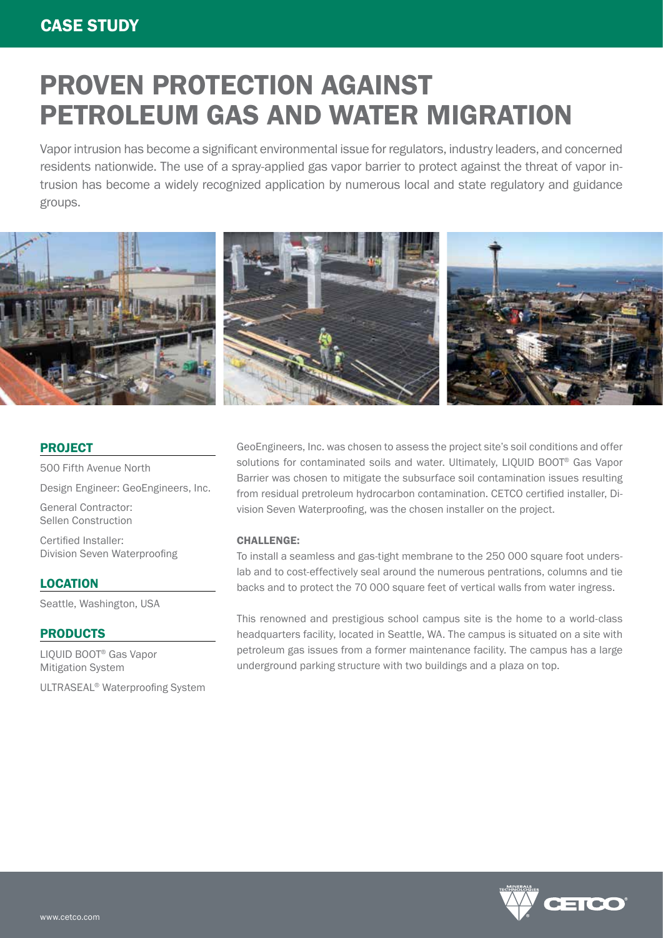# PROVEN PROTECTION AGAINST PETROLEUM GAS AND WATER MIGRATION

Vapor intrusion has become a significant environmental issue for regulators, industry leaders, and concerned residents nationwide. The use of a spray-applied gas vapor barrier to protect against the threat of vapor intrusion has become a widely recognized application by numerous local and state regulatory and guidance groups.



### **PROJECT**

500 Fifth Avenue North Design Engineer: GeoEngineers, Inc. General Contractor: Sellen Construction

Certified Installer: Division Seven Waterproofing

**LOCATION** 

Seattle, Washington, USA

### PRODUCTS

LIQUID BOOT® Gas Vapor Mitigation System

ULTRASEAL® Waterproofing System

GeoEngineers, Inc. was chosen to assess the project site's soil conditions and offer solutions for contaminated soils and water. Ultimately, LIQUID BOOT® Gas Vapor Barrier was chosen to mitigate the subsurface soil contamination issues resulting from residual pretroleum hydrocarbon contamination. CETCO certified installer, Division Seven Waterproofing, was the chosen installer on the project.

### CHALLENGE:

To install a seamless and gas-tight membrane to the 250 000 square foot underslab and to cost-effectively seal around the numerous pentrations, columns and tie backs and to protect the 70 000 square feet of vertical walls from water ingress.

This renowned and prestigious school campus site is the home to a world-class headquarters facility, located in Seattle, WA. The campus is situated on a site with petroleum gas issues from a former maintenance facility. The campus has a large underground parking structure with two buildings and a plaza on top.